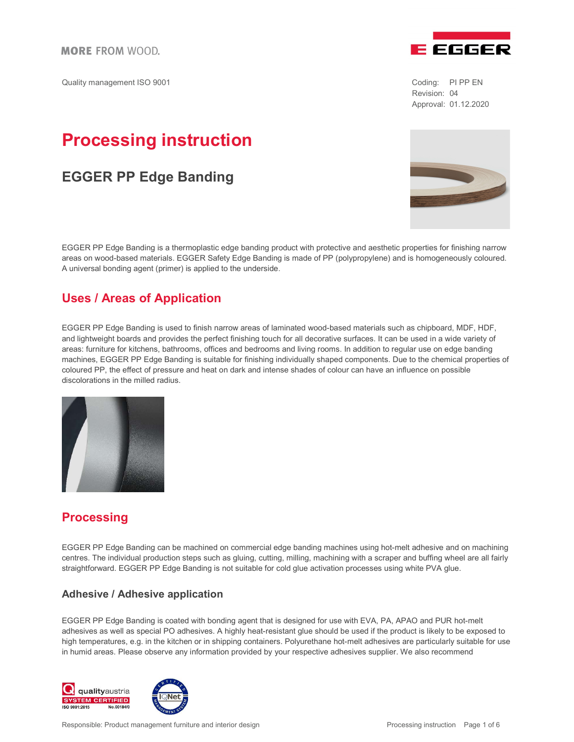Quality management ISO 9001 Coding: PI PP EN



Revision: 04 Approval: 01.12.2020

# Processing instruction

# EGGER PP Edge Banding

EGGER PP Edge Banding is a thermoplastic edge banding product with protective and aesthetic properties for finishing narrow areas on wood-based materials. EGGER Safety Edge Banding is made of PP (polypropylene) and is homogeneously coloured. A universal bonding agent (primer) is applied to the underside.

# Uses / Areas of Application

EGGER PP Edge Banding is used to finish narrow areas of laminated wood-based materials such as chipboard, MDF, HDF, and lightweight boards and provides the perfect finishing touch for all decorative surfaces. It can be used in a wide variety of areas: furniture for kitchens, bathrooms, offices and bedrooms and living rooms. In addition to regular use on edge banding machines, EGGER PP Edge Banding is suitable for finishing individually shaped components. Due to the chemical properties of coloured PP, the effect of pressure and heat on dark and intense shades of colour can have an influence on possible discolorations in the milled radius.



# **Processing**

EGGER PP Edge Banding can be machined on commercial edge banding machines using hot-melt adhesive and on machining centres. The individual production steps such as gluing, cutting, milling, machining with a scraper and buffing wheel are all fairly straightforward. EGGER PP Edge Banding is not suitable for cold glue activation processes using white PVA glue.

# Adhesive / Adhesive application

EGGER PP Edge Banding is coated with bonding agent that is designed for use with EVA, PA, APAO and PUR hot-melt adhesives as well as special PO adhesives. A highly heat-resistant glue should be used if the product is likely to be exposed to high temperatures, e.g. in the kitchen or in shipping containers. Polyurethane hot-melt adhesives are particularly suitable for use in humid areas. Please observe any information provided by your respective adhesives supplier. We also recommend



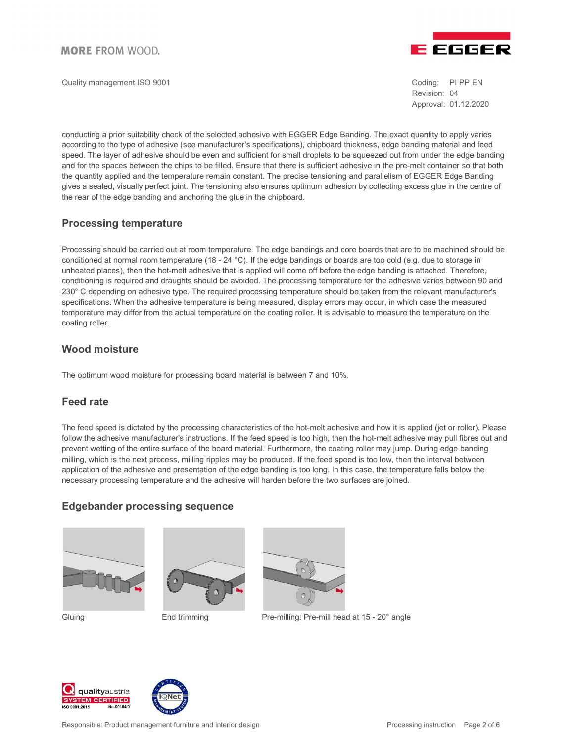Quality management ISO 9001 Coding: PI PP EN



Revision: 04 Approval: 01.12.2020

conducting a prior suitability check of the selected adhesive with EGGER Edge Banding. The exact quantity to apply varies according to the type of adhesive (see manufacturer's specifications), chipboard thickness, edge banding material and feed speed. The layer of adhesive should be even and sufficient for small droplets to be squeezed out from under the edge banding and for the spaces between the chips to be filled. Ensure that there is sufficient adhesive in the pre-melt container so that both the quantity applied and the temperature remain constant. The precise tensioning and parallelism of EGGER Edge Banding gives a sealed, visually perfect joint. The tensioning also ensures optimum adhesion by collecting excess glue in the centre of the rear of the edge banding and anchoring the glue in the chipboard.

# Processing temperature

Processing should be carried out at room temperature. The edge bandings and core boards that are to be machined should be conditioned at normal room temperature (18 - 24 °C). If the edge bandings or boards are too cold (e.g. due to storage in unheated places), then the hot-melt adhesive that is applied will come off before the edge banding is attached. Therefore, conditioning is required and draughts should be avoided. The processing temperature for the adhesive varies between 90 and 230° C depending on adhesive type. The required processing temperature should be taken from the relevant manufacturer's specifications. When the adhesive temperature is being measured, display errors may occur, in which case the measured temperature may differ from the actual temperature on the coating roller. It is advisable to measure the temperature on the coating roller.

# Wood moisture

The optimum wood moisture for processing board material is between 7 and 10%.

# Feed rate

The feed speed is dictated by the processing characteristics of the hot-melt adhesive and how it is applied (jet or roller). Please follow the adhesive manufacturer's instructions. If the feed speed is too high, then the hot-melt adhesive may pull fibres out and prevent wetting of the entire surface of the board material. Furthermore, the coating roller may jump. During edge banding milling, which is the next process, milling ripples may be produced. If the feed speed is too low, then the interval between application of the adhesive and presentation of the edge banding is too long. In this case, the temperature falls below the necessary processing temperature and the adhesive will harden before the two surfaces are joined.

# Edgebander processing sequence







Gluing **End trimming** Pre-milling: Pre-mill head at 15 - 20° angle



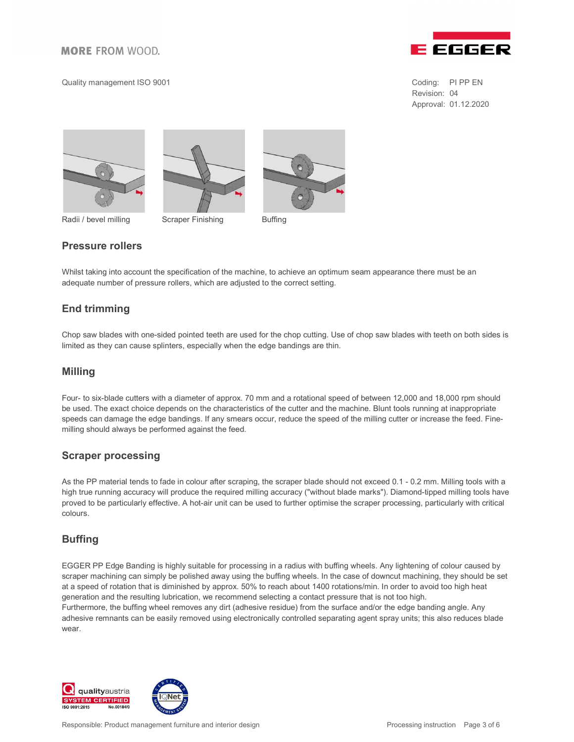#### Quality management ISO 9001 Coding: PI PP EN



Revision: 04 Approval: 01.12.2020





Radii / bevel milling Scraper Finishing Buffing



### Pressure rollers

Whilst taking into account the specification of the machine, to achieve an optimum seam appearance there must be an adequate number of pressure rollers, which are adjusted to the correct setting.

# End trimming

Chop saw blades with one-sided pointed teeth are used for the chop cutting. Use of chop saw blades with teeth on both sides is limited as they can cause splinters, especially when the edge bandings are thin.

### Milling

Four- to six-blade cutters with a diameter of approx. 70 mm and a rotational speed of between 12,000 and 18,000 rpm should be used. The exact choice depends on the characteristics of the cutter and the machine. Blunt tools running at inappropriate speeds can damage the edge bandings. If any smears occur, reduce the speed of the milling cutter or increase the feed. Finemilling should always be performed against the feed.

#### Scraper processing

As the PP material tends to fade in colour after scraping, the scraper blade should not exceed 0.1 - 0.2 mm. Milling tools with a high true running accuracy will produce the required milling accuracy ("without blade marks"). Diamond-tipped milling tools have proved to be particularly effective. A hot-air unit can be used to further optimise the scraper processing, particularly with critical colours.

# **Buffing**

EGGER PP Edge Banding is highly suitable for processing in a radius with buffing wheels. Any lightening of colour caused by scraper machining can simply be polished away using the buffing wheels. In the case of downcut machining, they should be set at a speed of rotation that is diminished by approx. 50% to reach about 1400 rotations/min. In order to avoid too high heat generation and the resulting lubrication, we recommend selecting a contact pressure that is not too high. Furthermore, the buffing wheel removes any dirt (adhesive residue) from the surface and/or the edge banding angle. Any adhesive remnants can be easily removed using electronically controlled separating agent spray units; this also reduces blade wear.



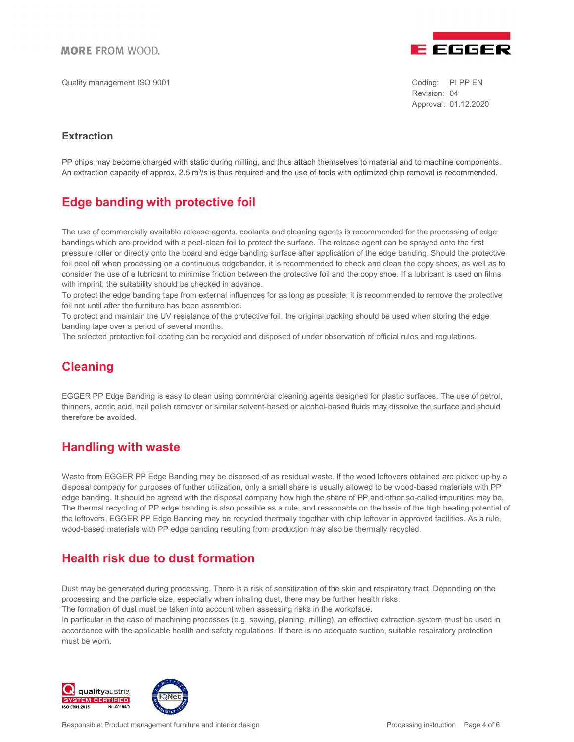Quality management ISO 9001 Coding: PI PP EN



Revision: 04 Approval: 01.12.2020

# **Extraction**

PP chips may become charged with static during milling, and thus attach themselves to material and to machine components. An extraction capacity of approx. 2.5 m<sup>3</sup>/s is thus required and the use of tools with optimized chip removal is recommended.

# Edge banding with protective foil

The use of commercially available release agents, coolants and cleaning agents is recommended for the processing of edge bandings which are provided with a peel-clean foil to protect the surface. The release agent can be sprayed onto the first pressure roller or directly onto the board and edge banding surface after application of the edge banding. Should the protective foil peel off when processing on a continuous edgebander, it is recommended to check and clean the copy shoes, as well as to consider the use of a lubricant to minimise friction between the protective foil and the copy shoe. If a lubricant is used on films with imprint, the suitability should be checked in advance.

To protect the edge banding tape from external influences for as long as possible, it is recommended to remove the protective foil not until after the furniture has been assembled.

To protect and maintain the UV resistance of the protective foil, the original packing should be used when storing the edge banding tape over a period of several months.

The selected protective foil coating can be recycled and disposed of under observation of official rules and regulations.

# **Cleaning**

EGGER PP Edge Banding is easy to clean using commercial cleaning agents designed for plastic surfaces. The use of petrol, thinners, acetic acid, nail polish remover or similar solvent-based or alcohol-based fluids may dissolve the surface and should therefore be avoided.

# Handling with waste

Waste from EGGER PP Edge Banding may be disposed of as residual waste. If the wood leftovers obtained are picked up by a disposal company for purposes of further utilization, only a small share is usually allowed to be wood-based materials with PP edge banding. It should be agreed with the disposal company how high the share of PP and other so-called impurities may be. The thermal recycling of PP edge banding is also possible as a rule, and reasonable on the basis of the high heating potential of the leftovers. EGGER PP Edge Banding may be recycled thermally together with chip leftover in approved facilities. As a rule, wood-based materials with PP edge banding resulting from production may also be thermally recycled.

# Health risk due to dust formation

Dust may be generated during processing. There is a risk of sensitization of the skin and respiratory tract. Depending on the processing and the particle size, especially when inhaling dust, there may be further health risks.

The formation of dust must be taken into account when assessing risks in the workplace.

In particular in the case of machining processes (e.g. sawing, planing, milling), an effective extraction system must be used in accordance with the applicable health and safety regulations. If there is no adequate suction, suitable respiratory protection must be worn.



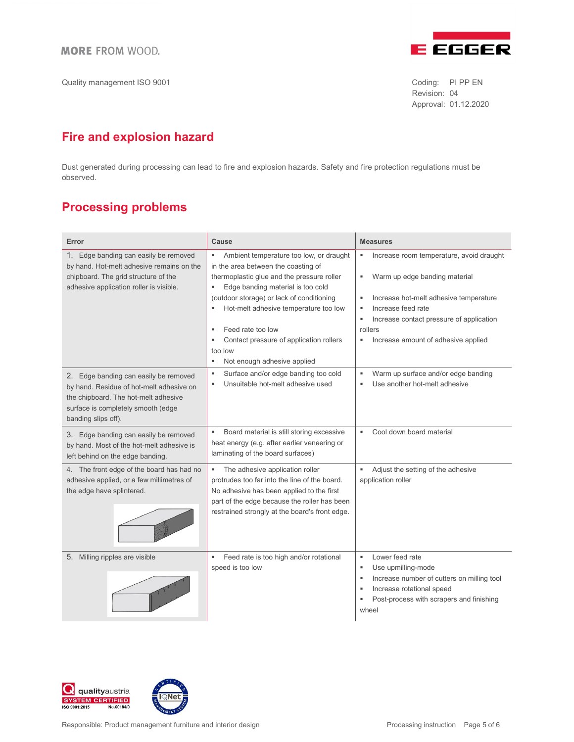

Quality management ISO 9001 Coding: PI PP EN

Revision: 04 Approval: 01.12.2020

# Fire and explosion hazard

Dust generated during processing can lead to fire and explosion hazards. Safety and fire protection regulations must be observed.

# Processing problems

| Error                                                                                                                                                                                  | Cause                                                                                                                                                                                                                                | <b>Measures</b>                                                                                                                                                                                             |
|----------------------------------------------------------------------------------------------------------------------------------------------------------------------------------------|--------------------------------------------------------------------------------------------------------------------------------------------------------------------------------------------------------------------------------------|-------------------------------------------------------------------------------------------------------------------------------------------------------------------------------------------------------------|
| Edge banding can easily be removed<br>1.<br>by hand. Hot-melt adhesive remains on the<br>chipboard. The grid structure of the<br>adhesive application roller is visible.               | Ambient temperature too low, or draught<br>٠<br>in the area between the coasting of<br>thermoplastic glue and the pressure roller<br>Edge banding material is too cold<br>٠                                                          | Increase room temperature, avoid draught<br>٠<br>Warm up edge banding material<br>٠                                                                                                                         |
|                                                                                                                                                                                        | (outdoor storage) or lack of conditioning<br>Hot-melt adhesive temperature too low<br>٠                                                                                                                                              | Increase hot-melt adhesive temperature<br>٠<br>Increase feed rate<br>٠                                                                                                                                      |
|                                                                                                                                                                                        | Feed rate too low<br>٠                                                                                                                                                                                                               | Increase contact pressure of application<br>٠<br>rollers                                                                                                                                                    |
|                                                                                                                                                                                        | Contact pressure of application rollers<br>too low<br>Not enough adhesive applied<br>٠                                                                                                                                               | Increase amount of adhesive applied<br>٠                                                                                                                                                                    |
| 2. Edge banding can easily be removed<br>by hand. Residue of hot-melt adhesive on<br>the chipboard. The hot-melt adhesive<br>surface is completely smooth (edge<br>banding slips off). | Surface and/or edge banding too cold<br>٠<br>Unsuitable hot-melt adhesive used<br>٠                                                                                                                                                  | Warm up surface and/or edge banding<br>٠<br>Use another hot-melt adhesive<br>٠                                                                                                                              |
| 3. Edge banding can easily be removed<br>by hand. Most of the hot-melt adhesive is<br>left behind on the edge banding.                                                                 | Board material is still storing excessive<br>٠<br>heat energy (e.g. after earlier veneering or<br>laminating of the board surfaces)                                                                                                  | Cool down board material<br>٠                                                                                                                                                                               |
| 4. The front edge of the board has had no<br>adhesive applied, or a few millimetres of<br>the edge have splintered.                                                                    | The adhesive application roller<br>٠<br>protrudes too far into the line of the board.<br>No adhesive has been applied to the first<br>part of the edge because the roller has been<br>restrained strongly at the board's front edge. | Adjust the setting of the adhesive<br>×<br>application roller                                                                                                                                               |
| 5. Milling ripples are visible                                                                                                                                                         | Feed rate is too high and/or rotational<br>٠<br>speed is too low                                                                                                                                                                     | Lower feed rate<br>٠<br>Use upmilling-mode<br>٠<br>Increase number of cutters on milling tool<br>$\blacksquare$<br>Increase rotational speed<br>٠<br>Post-process with scrapers and finishing<br>٠<br>wheel |